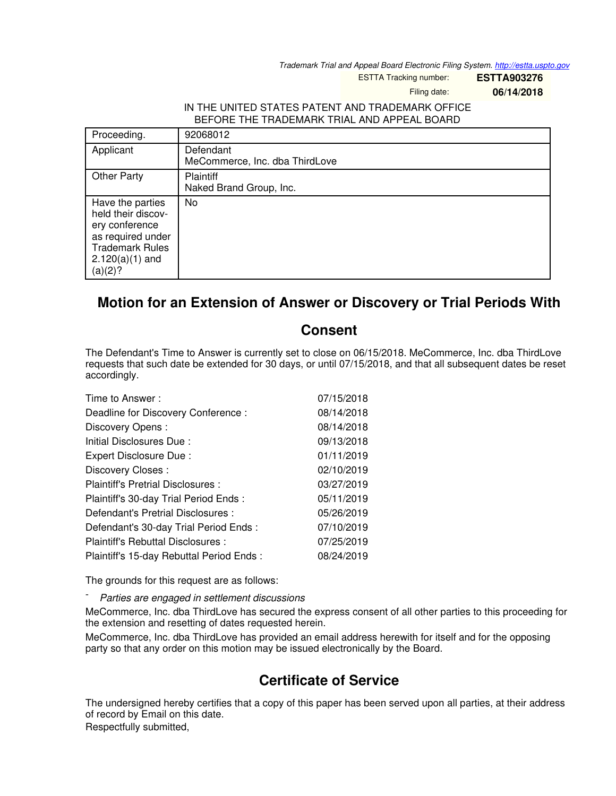*Trademark Trial and Appeal Board Electronic Filing System. <http://estta.uspto.gov>*

ESTTA Tracking number: **ESTTA903276**

Filing date: **06/14/2018**

## IN THE UNITED STATES PATENT AND TRADEMARK OFFICE BEFORE THE TRADEMARK TRIAL AND APPEAL BOARD

| Proceeding.                                                                                                                             | 92068012                                    |
|-----------------------------------------------------------------------------------------------------------------------------------------|---------------------------------------------|
| Applicant                                                                                                                               | Defendant<br>MeCommerce, Inc. dba ThirdLove |
| <b>Other Party</b>                                                                                                                      | <b>Plaintiff</b><br>Naked Brand Group, Inc. |
| Have the parties<br>held their discov-<br>ery conference<br>as required under<br><b>Trademark Rules</b><br>$2.120(a)(1)$ and<br>(a)(2)? | No                                          |

## **Motion for an Extension of Answer or Discovery or Trial Periods With**

## **Consent**

The Defendant's Time to Answer is currently set to close on 06/15/2018. MeCommerce, Inc. dba ThirdLove requests that such date be extended for 30 days, or until 07/15/2018, and that all subsequent dates be reset accordingly.

| Time to Answer:                          | 07/15/2018 |
|------------------------------------------|------------|
| Deadline for Discovery Conference:       | 08/14/2018 |
| Discovery Opens:                         | 08/14/2018 |
| Initial Disclosures Due:                 | 09/13/2018 |
| Expert Disclosure Due:                   | 01/11/2019 |
| Discovery Closes:                        | 02/10/2019 |
| Plaintiff's Pretrial Disclosures :       | 03/27/2019 |
| Plaintiff's 30-day Trial Period Ends:    | 05/11/2019 |
| Defendant's Pretrial Disclosures :       | 05/26/2019 |
| Defendant's 30-day Trial Period Ends:    | 07/10/2019 |
| Plaintiff's Rebuttal Disclosures:        | 07/25/2019 |
| Plaintiff's 15-day Rebuttal Period Ends: | 08/24/2019 |

The grounds for this request are as follows:

- *Parties are engaged in settlement discussions*

MeCommerce, Inc. dba ThirdLove has secured the express consent of all other parties to this proceeding for the extension and resetting of dates requested herein.

MeCommerce, Inc. dba ThirdLove has provided an email address herewith for itself and for the opposing party so that any order on this motion may be issued electronically by the Board.

## **Certificate of Service**

The undersigned hereby certifies that a copy of this paper has been served upon all parties, at their address of record by Email on this date.

Respectfully submitted,